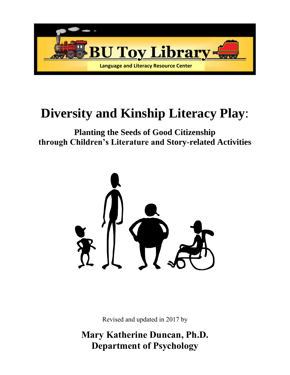

## **Diversity and Kinship Literacy Play**:

**Planting the Seeds of Good Citizenship through Children's Literature and Story-related Activities**



Revised and updated in 2017 by

**Mary Katherine Duncan, Ph.D. Department of Psychology**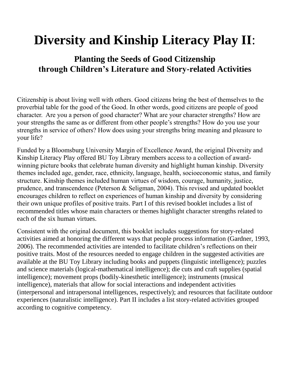# **Diversity and Kinship Literacy Play II**:

### **Planting the Seeds of Good Citizenship through Children's Literature and Story-related Activities**

Citizenship is about living well with others. Good citizens bring the best of themselves to the proverbial table for the good of the Good. In other words, good citizens are people of good character. Are you a person of good character? What are your character strengths? How are your strengths the same as or different from other people's strengths? How do you use your strengths in service of others? How does using your strengths bring meaning and pleasure to your life?

Funded by a Bloomsburg University Margin of Excellence Award, the original Diversity and Kinship Literacy Play offered BU Toy Library members access to a collection of awardwinning picture books that celebrate human diversity and highlight human kinship. Diversity themes included age, gender, race, ethnicity, language, health, socioeconomic status, and family structure. Kinship themes included human virtues of wisdom, courage, humanity, justice, prudence, and transcendence (Peterson & Seligman, 2004). This revised and updated booklet encourages children to reflect on experiences of human kinship and diversity by considering their own unique profiles of positive traits. Part I of this revised booklet includes a list of recommended titles whose main characters or themes highlight character strengths related to each of the six human virtues.

Consistent with the original document, this booklet includes suggestions for story-related activities aimed at honoring the different ways that people process information (Gardner, 1993, 2006). The recommended activities are intended to facilitate children's reflections on their positive traits. Most of the resources needed to engage children in the suggested activities are available at the BU Toy Library including books and puppets (linguistic intelligence); puzzles and science materials (logical-mathematical intelligence); die cuts and craft supplies (spatial intelligence); movement props (bodily-kinesthetic intelligence); instruments (musical intelligence), materials that allow for social interactions and independent activities (interpersonal and intrapersonal intelligences, respectively); and resources that facilitate outdoor experiences (naturalistic intelligence). Part II includes a list story-related activities grouped according to cognitive competency.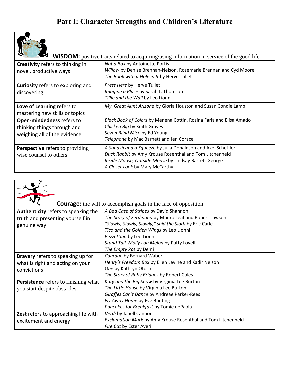

WISDOM: positive traits related to acquiring/using information in service of the good life

| <b>Creativity</b> refers to thinking in<br>novel, productive ways                        | Not a Box by Antoinette Portis<br>Willow by Denise Brennan-Nelson, Rosemarie Brennan and Cyd Moore<br>The Book with a Hole in It by Herve Tullet                                                                   |
|------------------------------------------------------------------------------------------|--------------------------------------------------------------------------------------------------------------------------------------------------------------------------------------------------------------------|
| <b>Curiosity</b> refers to exploring and<br>discovering                                  | Press Here by Herve Tullet<br><i>Imagine a Place by Sarah L. Thomson</i><br>Tillie and the Wall by Leo Lionni                                                                                                      |
| Love of Learning refers to<br>mastering new skills or topics                             | My Great Aunt Arizona by Gloria Houston and Susan Condie Lamb                                                                                                                                                      |
| Open-mindedness refers to<br>thinking things through and<br>weighing all of the evidence | Black Book of Colors by Menena Cottin, Rosina Faria and Elisa Amado<br>Chicken Big by Keith Graves<br>Seven Blind Mice by Ed Young<br>Telephone by Mac Barnett and Jen Corace                                      |
| Perspective refers to providing<br>wise counsel to others                                | A Squash and a Squeeze by Julia Donaldson and Axel Scheffler<br>Duck Rabbit by Amy Krouse Rosenthal and Tom Litchenheld<br>Inside Mouse, Outside Mouse by Lindsay Barrett George<br>A Closer Look by Mary McCarthy |



#### **Courage:** the will to accomplish goals in the face of opposition

| <b>Authenticity</b> refers to speaking the  | A Bad Case of Stripes by David Shannon                       |
|---------------------------------------------|--------------------------------------------------------------|
| truth and presenting yourself in            | The Story of Ferdinand by Munro Leaf and Robert Lawson       |
| genuine way                                 | "Slowly, Slowly, Slowly," said the Sloth by Eric Carle       |
|                                             | Tico and the Golden Wings by Leo Lionni                      |
|                                             | Pezzettino by Leo Lionni                                     |
|                                             | Stand Tall, Molly Lou Melon by Patty Lovell                  |
|                                             | The Empty Pot by Demi                                        |
| Bravery refers to speaking up for           | Courage by Bernard Waber                                     |
| what is right and acting on your            | Henry's Freedom Box by Ellen Levine and Kadir Nelson         |
| convictions                                 | One by Kathryn Otoshi                                        |
|                                             | The Story of Ruby Bridges by Robert Coles                    |
| <b>Persistence</b> refers to finishing what | Katy and the Big Snow by Virginia Lee Burton                 |
| you start despite obstacles                 | The Little House by Virginia Lee Burton                      |
|                                             | Giraffes Can't Dance by Andreae Parker-Rees                  |
|                                             | Fly Away Home by Eve Bunting                                 |
|                                             | Pancakes for Breakfast by Tomie dePaola                      |
| Zest refers to approaching life with        | Verdi by Janell Cannon                                       |
| excitement and energy                       | Exclamation Mark by Amy Krouse Rosenthal and Tom Litchenheld |
|                                             | Fire Cat by Ester Averill                                    |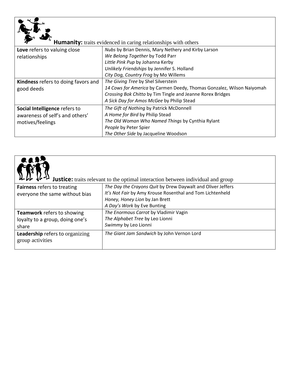| <b>Humanity:</b> traits evidenced in caring relationships with others |                                                                       |
|-----------------------------------------------------------------------|-----------------------------------------------------------------------|
| Love refers to valuing close                                          | Nubs by Brian Dennis, Mary Nethery and Kirby Larson                   |
| relationships                                                         | We Belong Together by Todd Parr                                       |
|                                                                       | Little Pink Pup by Johanna Kerby                                      |
|                                                                       | Unlikely Friendships by Jennifer S. Holland                           |
|                                                                       | City Dog, Country Frog by Mo Willems                                  |
| Kindness refers to doing favors and                                   | The Giving Tree by Shel Silverstein                                   |
| good deeds                                                            | 14 Cows for America by Carmen Deedy, Thomas Gonzalez, Wilson Naiyomah |
|                                                                       | Crossing Bok Chitto by Tim Tingle and Jeanne Rorex Bridges            |
|                                                                       | A Sick Day for Amos McGee by Philip Stead                             |
| Social Intelligence refers to                                         | The Gift of Nothing by Patrick McDonnell                              |
| awareness of self's and others'                                       | A Home for Bird by Philip Stead                                       |
| motives/feelings                                                      | The Old Woman Who Named Things by Cynthia Rylant                      |
|                                                                       | People by Peter Spier                                                 |
|                                                                       | The Other Side by Jacqueline Woodson                                  |



**Justice:** traits relevant to the optimal interaction between individual and group

| <b>Fairness refers to treating</b>                  | The Day the Crayons Quit by Drew Daywalt and Oliver Jeffers |
|-----------------------------------------------------|-------------------------------------------------------------|
| everyone the same without bias                      | It's Not Fair by Amy Krouse Rosenthal and Tom Lichtenheld   |
|                                                     | Honey, Honey Lion by Jan Brett                              |
|                                                     | A Day's Work by Eve Bunting                                 |
| <b>Teamwork</b> refers to showing                   | The Enormous Carrot by Vladimir Vagin                       |
| loyalty to a group, doing one's                     | The Alphabet Tree by Leo Lionni                             |
| share                                               | Swimmy by Leo Lionni                                        |
| Leadership refers to organizing<br>group activities | The Giant Jam Sandwich by John Vernon Lord                  |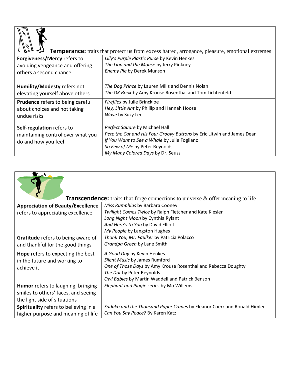

# **Temperance:** traits that protect us from excess hatred, arrogance, pleasure, emotional extremes

|                                                                                          | protect we from encode man on, and gainer, preasoner, emotional entr                                                 |
|------------------------------------------------------------------------------------------|----------------------------------------------------------------------------------------------------------------------|
| Forgiveness/Mercy refers to<br>avoiding vengeance and offering<br>others a second chance | Lilly's Purple Plastic Purse by Kevin Henkes<br>The Lion and the Mouse by Jerry Pinkney<br>Enemy Pie by Derek Munson |
| Humility/Modesty refers not                                                              | The Dog Prince by Lauren Mills and Dennis Nolan                                                                      |
| elevating yourself above others                                                          | The OK Book by Amy Krouse Rosenthal and Tom Lichtenfeld                                                              |
| <b>Prudence refers to being careful</b>                                                  | Fireflies by Julie Brinckloe                                                                                         |
| about choices and not taking                                                             | Hey, Little Ant by Phillip and Hannah Hoose                                                                          |
| undue risks                                                                              | Wave by Suzy Lee                                                                                                     |
| Self-regulation refers to                                                                | Perfect Square by Michael Hall                                                                                       |
| maintaining control over what you                                                        | Pete the Cat and His Four Groovy Buttons by Eric Litwin and James Dean                                               |
| do and how you feel                                                                      | If You Want to See a Whale by Julie Fogliano                                                                         |
|                                                                                          | So Few of Me by Peter Reynolds                                                                                       |
|                                                                                          | My Many Colored Days by Dr. Seuss                                                                                    |

| <b>Transcendence:</b> traits that forge connections to universe & offer meaning to life |                                                                         |
|-----------------------------------------------------------------------------------------|-------------------------------------------------------------------------|
| <b>Appreciation of Beauty/Excellence</b>                                                | Miss Rumphius by Barbara Cooney                                         |
| refers to appreciating excellence                                                       | Twilight Comes Twice by Ralph Fletcher and Kate Kiesler                 |
|                                                                                         | Long Night Moon by Cynthia Rylant                                       |
|                                                                                         | And Here's to You by David Elliott                                      |
|                                                                                         | My People by Langston Hughes                                            |
| Gratitude refers to being aware of                                                      | Thank You, Mr. Faulker by Patricia Polacco                              |
| and thankful for the good things                                                        | Grandpa Green by Lane Smith                                             |
| Hope refers to expecting the best                                                       | A Good Day by Kevin Henkes                                              |
| in the future and working to                                                            | Silent Music by James Rumford                                           |
| achieve it                                                                              | One of Those Days by Amy Krouse Rosenthal and Rebecca Doughty           |
|                                                                                         | The Dot by Peter Reynolds                                               |
|                                                                                         | Owl Babies by Martin Waddell and Patrick Benson                         |
| Humor refers to laughing, bringing                                                      | Elephant and Piggie series by Mo Willems                                |
| smiles to others' faces, and seeing                                                     |                                                                         |
| the light side of situations                                                            |                                                                         |
| Spirituality refers to believing in a                                                   | Sadako and the Thousand Paper Cranes by Eleanor Coerr and Ronald Himler |
| higher purpose and meaning of life                                                      | Can You Say Peace? By Karen Katz                                        |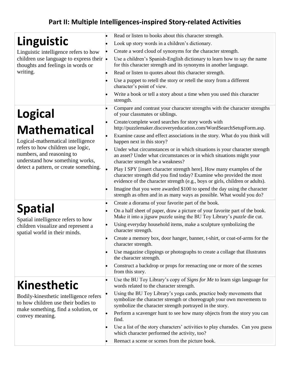## **Part II: Multiple Intelligences-inspired Story-related Activities**

|                                                                                                   | Read or listen to books about this character strength.                                                                                                                                                                         |
|---------------------------------------------------------------------------------------------------|--------------------------------------------------------------------------------------------------------------------------------------------------------------------------------------------------------------------------------|
| Linguistic                                                                                        | Look up story words in a children's dictionary.                                                                                                                                                                                |
| Linguistic intelligence refers to how                                                             | Create a word cloud of synonyms for the character strength.                                                                                                                                                                    |
| children use language to express their •<br>thoughts and feelings in words or                     | Use a children's Spanish-English dictionary to learn how to say the name<br>for this character strength and its synonyms in another language.                                                                                  |
| writing.                                                                                          | Read or listen to quotes about this character strength.                                                                                                                                                                        |
|                                                                                                   | Use a puppet to retell the story or retell the story from a different<br>character's point of view.                                                                                                                            |
|                                                                                                   | Write a book or tell a story about a time when you used this character<br>strength.                                                                                                                                            |
| <b>Logical</b>                                                                                    | Compare and contrast your character strengths with the character strengths<br>of your classmates or siblings.                                                                                                                  |
|                                                                                                   | Create/complete word searches for story words with                                                                                                                                                                             |
| <b>Mathematical</b>                                                                               | http://puzzlemaker.discoveryeducation.com/WordSearchSetupForm.asp.                                                                                                                                                             |
| Logical-mathematical intelligence                                                                 | Examine cause and effect associations in the story. What do you think will<br>happen next in this story?                                                                                                                       |
| refers to how children use logic,<br>numbers, and reasoning to<br>understand how something works, | Under what circumstances or in which situations is your character strength<br>an asset? Under what circumstances or in which situations might your<br>character strength be a weakness?                                        |
| detect a pattern, or create something.                                                            | Play I SPY [insert character strength here]. How many examples of the<br>character strength did you find today? Examine who provided the most<br>evidence of the character strength (e.g., boys or girls, children or adults). |
|                                                                                                   | Imagine that you were awarded \$100 to spend the day using the character<br>strength as often and in as many ways as possible. What would you do?                                                                              |
|                                                                                                   | Create a diorama of your favorite part of the book.                                                                                                                                                                            |
| <b>Spatial</b><br>Spatial intelligence refers to how                                              | On a half sheet of paper, draw a picture of your favorite part of the book.<br>Make it into a jigsaw puzzle using the BU Toy Library's <i>puzzle</i> die cut.                                                                  |
| children visualize and represent a<br>spatial world in their minds.                               | Using everyday household items, make a sculpture symbolizing the<br>character strength.                                                                                                                                        |
|                                                                                                   | Create a memory box, door hanger, banner, t-shirt, or coat-of-arms for the<br>character strength.                                                                                                                              |
|                                                                                                   | Use magazine clippings or photographs to create a collage that illustrates<br>the character strength.                                                                                                                          |
|                                                                                                   | Construct a backdrop or props for reenacting one or more of the scenes<br>from this story.                                                                                                                                     |
| <b>Kinesthetic</b>                                                                                | Use the BU Toy Library's copy of Signs for Me to learn sign language for<br>words related to the character strength.                                                                                                           |
| Bodily-kinesthetic intelligence refers<br>to how children use their bodies to                     | Using the BU Toy Library's yoga cards, practice body movements that<br>symbolize the character strength or choreograph your own movements to<br>symbolize the character strength portrayed in the story.                       |
| make something, find a solution, or<br>convey meaning.                                            | Perform a scavenger hunt to see how many objects from the story you can<br>find.                                                                                                                                               |
|                                                                                                   | Use a list of the story characters' activities to play charades. Can you guess<br>which character performed the activity, too?                                                                                                 |
|                                                                                                   | Reenact a scene or scenes from the picture book.                                                                                                                                                                               |